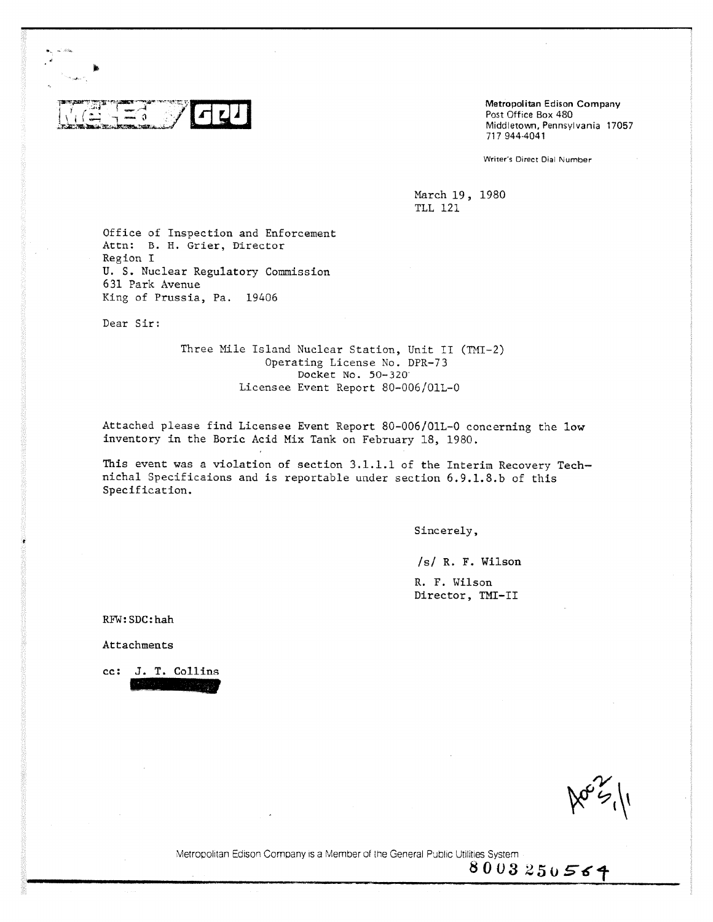

**Metropolitan Edison Company** Post Office Box 480 Middletown, Pennsylvania 17057 717 9444041

Writer's Direct Dial Number

March 19, 1980 TLL 121

Office of Inspection and Enforcement Attn: B. H. Grier, Director Region I U. S. Nuclear Regulatory Commission 631 Park Avenue King of Prussia, Pa. 19406

Dear Sir:

Three Mile Island Nuclear Station, Unit II (TMI-2) Operating License No. DPR-73 Docket No. 50-320 Licensee Event Report 80-006/01L-0

Attached please find Licensee Event Report 80-006/01L-0 concerning the low inventory in the Boric Acid Mix Tank on February 18, 1980.

This event was a violation of section 3.1.1.1 of the Interim Recovery Technichal Specificaions and is reportable under section 6.9.1.8.b of this Specification.

Sincerely,

/s/ R. F. Wilson

R. F. Wilson Director, TNT-II

RFW:SDC:hah

Attachments

cc: J. T. Collins 1121.1121.1121

 $\aleph$ s $\aleph$ 

Metropolitan Edison Company is a Member of the General Public Utilities System

 $8003250564$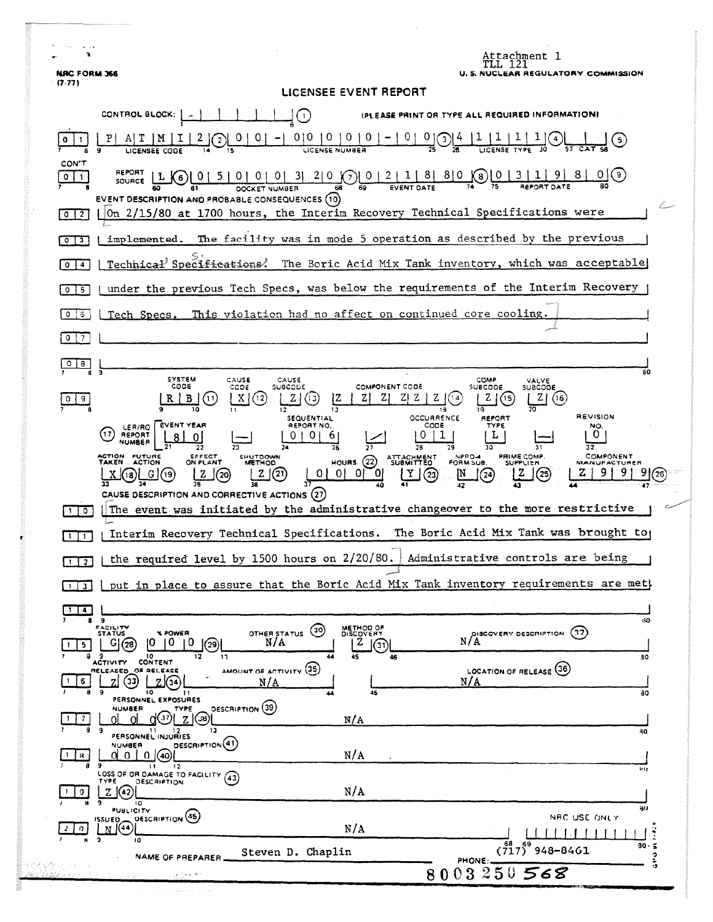| <b>NRC FORM 366</b>                    | Attachment l<br><b>U.S. NUCLEAR REGULATORY COMMISSION</b>                                                                                                                                                                                                                                                                                        |
|----------------------------------------|--------------------------------------------------------------------------------------------------------------------------------------------------------------------------------------------------------------------------------------------------------------------------------------------------------------------------------------------------|
| (7.77)                                 | LICENSEE EVENT REPORT                                                                                                                                                                                                                                                                                                                            |
|                                        | CONTROL BLOCK:  <br>(PLEASE PRINT OR TYPE ALL REQUIRED INFORMATION)<br>$\left(\cdot\right)$                                                                                                                                                                                                                                                      |
| 0                                      | $0 0 0 0 0 0 -0$<br>$\frac{0}{25}$ $\frac{0}{25}$<br>$\frac{1}{\text{LCENSE}}\frac{1}{\text{TVPE}}\left(\frac{1}{10}\right)$<br>$\overline{z}$<br>(5)                                                                                                                                                                                            |
| CON'T<br>011<br>$0 \mid 2$             | REPORT<br>[01510]0131200012118180001311918100<br>$SOWRCE$ $L(6)$<br>EVENT DESCRIPTION AND PROBABLE CONSEQUENCES (10)<br>On 2/15/80 at 1700 hours, the Interim Recovery Technical Specifications were                                                                                                                                             |
|                                        | implemented. The facility was in mode 5 operation as described by the previous                                                                                                                                                                                                                                                                   |
| $0 \mid 3$                             |                                                                                                                                                                                                                                                                                                                                                  |
| $\mathbf{o}$<br>$\blacktriangleleft$   | Technical Specifications. The Boric Acid Mix Tank inventory, which was acceptable                                                                                                                                                                                                                                                                |
| $\circ$<br>-5                          | under the previous Tech Specs, was below the requirements of the Interim Recovery                                                                                                                                                                                                                                                                |
| 0<br>$\ddot{\circ}$<br>0 <sub>17</sub> | Tech Specs. This violation had no affect on continued core cooling.                                                                                                                                                                                                                                                                              |
| $\circ$<br>8                           |                                                                                                                                                                                                                                                                                                                                                  |
| $\overline{9}$<br>9<br>0               | 30<br>SYSTEM<br>CAUSE<br>COMP.<br>CAUSE<br>VALVE<br>CODE<br>COMPONENT CODE<br>೦೦ರಿಕ<br>SUBCODE<br><b>SUBCODE</b><br>SUBCODE<br>ΖI<br>B<br>X<br>[12]<br>z<br>13<br>ZI Z<br>Z<br>(15<br>2 J<br>(16)<br>R<br>(11<br>12<br>18<br><b>REVISION</b><br>OCCURRENCE<br>SEQUENTIAL<br>REPORT                                                               |
|                                        | <b>EVENT YEAR</b><br>REPORT NO.<br>COD 5<br><b>TYPE</b><br>NO.<br>LER/RO<br>0<br>17<br>REPORT<br>U.<br><b>NUMBER</b><br>ACTION<br>COMPONENT<br><b>FUTURE</b><br>ACTION<br>EFFECT<br>NPRD-4<br>FORM SUB.<br>PRIME COMP.<br>SHUTDOWN<br><b>ATTACHMENT</b><br>HOURS $(22)$<br>ON PLANT<br>TAKEN<br><b>METHOD</b><br><b>SUPPLIER</b><br>MANUFACTURER |
|                                        | z<br>(21)<br>O.<br>Y<br>G<br>z<br>(20<br>(25)<br>(19)<br>(23)<br>(24)<br>CAUSE DESCRIPTION AND CORRECTIVE ACTIONS (27)                                                                                                                                                                                                                           |
| $1+0$                                  | The event was initiated by the administrative changeover to the more restrictive                                                                                                                                                                                                                                                                 |
| $1 \mid 1$                             | Interim Recovery Technical Specifications. The Boric Acid Mix Tank was brought to                                                                                                                                                                                                                                                                |
|                                        | the required level by 1500 hours on 2/20/80.<br>Administrative controls are being                                                                                                                                                                                                                                                                |
| $1 \mid 3 \mid$                        | put in place to assure that the Boric Acid Mix Tank inventory requirements are met)                                                                                                                                                                                                                                                              |
| $\bullet$<br>89                        | 60                                                                                                                                                                                                                                                                                                                                               |
| 5.                                     | <b>STATUS</b><br>METHOD OF<br>DISCOVERY<br>$\left($ 30)<br>(32)<br>OTHER STATUS<br>N/A<br><b>% POWER</b><br>DISCOVERY DESCRIPTION<br>N/A<br>10.<br>10.<br>10.<br>2   (3i)<br>G(28)<br>(29)<br>10<br>45<br>11<br>46<br>80                                                                                                                         |
|                                        | <b>CONTENT</b><br>ACTIVITY<br>AMOUNT OF ACTIVITY (35)<br>LOCATION OF RELEASE (36)<br>RELEASED OF RELEASE<br>အ<br>N/A<br>N/A<br>9<br>10.<br>45<br>30<br>11<br>PERSONNEL EXPOSURES                                                                                                                                                                 |
| 7<br>-9                                | <b>DESCRIPTION</b> (39)<br><b>NUMBER</b><br>TYPE<br>37) <br>Z(38)<br>N/A<br>13<br>30<br>PERSONNEL INJURIES                                                                                                                                                                                                                                       |
| я.<br>89                               | DESCRIPTION <sup>(41)</sup><br>NUMBER<br>N/A<br>0 0 1 0 1 (40)<br>$\mathbf{1}$<br>12<br><b>RG</b><br>LOSS OF OR DAMAGE TO FACILITY                                                                                                                                                                                                               |
| 9.                                     | (43)<br>TYPE<br><b>DESCRIPTION</b><br>N/A<br>Z K42                                                                                                                                                                                                                                                                                               |
|                                        | 10<br>80<br><b>PUBLICITY</b><br>ISSUED DESCRIPTION (45)<br>NRC USE ONLY<br>N/A<br>N(44)<br>ä<br>10                                                                                                                                                                                                                                               |
|                                        | 68<br>$(717)^{69}$ 948-8461<br>$30 -$<br>$\tilde{\mathbf{z}}$<br>Steven D. Chaplin<br>٥<br>NAME OF PREPARER<br>PHONE:<br>ة                                                                                                                                                                                                                       |
|                                        | 8003250568                                                                                                                                                                                                                                                                                                                                       |